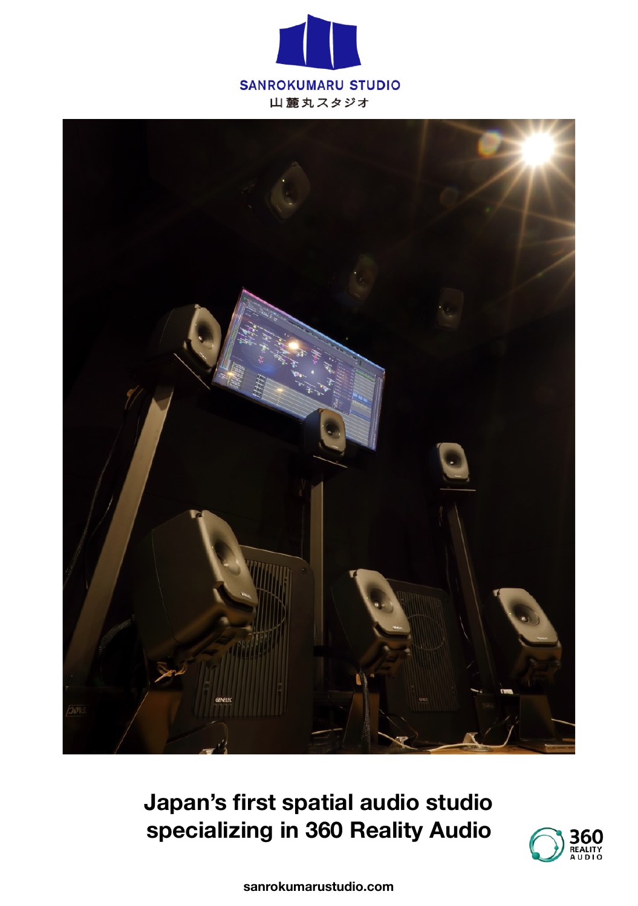



**Japan's first spatial audio studio specializing in 360 Reality Audio**



**sanrokumarustudio.com**